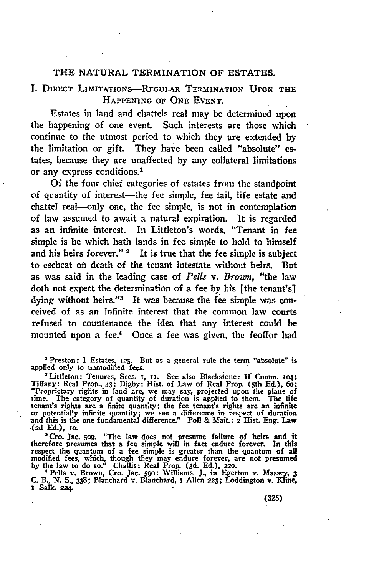## THE **NATURAL** TERMINATION OF **ESTATES.**

# I. DIRECT LiITATIONS-REGULAR TERMINATION **UPON** THE **HAPPENING** OF **ONE EVENT.**

Estates in land and chattels real may be determined upon the happening of one event. Such interests are those which continue to the utmost period to which they are extended by the limitation or gift. They have been called "absolute" estates, because they are unaffected **by** any collateral limitations or any express conditions.'

Of the four chief categories of estates from the standpoint of quantity of interest-the fee simple, fee tail, life estate and chattel real-only one, the fee simple, is not in contemplation of law assumed to await a natural expiration. It is regarded as an infinite interest. In Littleton's words, "Tenant in fee simple is he which hath lands in fee simple to hold to himself and his heirs forever."  $2$  It is true that the fee simple is subject to escheat on death of the tenant intestate without heirs. But as was said in the leading case of *Pells v. Brown*, "the law doth not expect the determination of a fee by his [the tenant's] dying without heirs." $3$  It was because the fee simple was conceived of as an infinite interest that the common law courts refused to countenance the idea that any interest could be mounted upon a fee.4 Once a fee was given, the feoffor had

Preston: **1** Estates. **125.** But as a general rule the term "absolute" is applied only to unmodified **fees.**

<sup>2</sup> Littleton: Tenures, Secs. 1, 11. See also Blackstone: II Comm. 104;<br>Tiffany: Real Prop., 43; Digby: Hist. of Law of Real Prop. (5th Ed.), 60; "Proprietary rights in land are, 'we may say, projected upon the plane of time. The category of quantity of duration is applied to them. The life tenant's rights are a finite quantty; the fee tenant's rights are an infinite or potentially infinite quantity; we see a difference in respect of duration and this is the one fundamental difference." Poll & Mait.: **2** Hist. **Eng.** Law **(2d Ed.), zo.**

<sup>a</sup> Cro. Jac. 509. "The law does not presume failure of heirs and it therefore presumes that a fee simple will in fact endure forever. In this respect the quantum of a fee simple is greater than the quantum of all modified **fees,** which, though they may endure forever, are not presumed **by** the law to do so." Challis: Real Prop. (3d. **Ed.),** 220.

'Pells v. Brown, Cro. Jac. **59o:** Williams. **J.,** in Egerton v. Massey, **3 C. B., N. S., 338;** Blanchard **-..** Blanchard, I Allen **223;** Loddington **v.** Kline, *x* Salk. 224.

**(325)**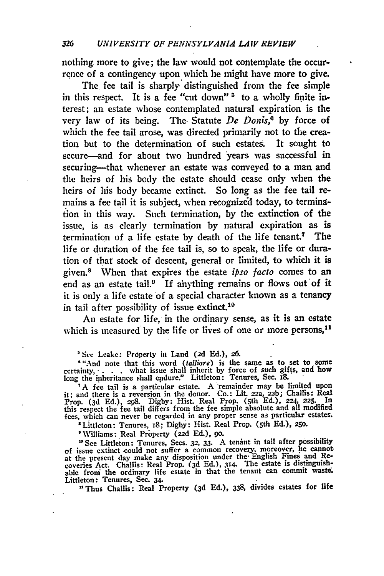nothing more to give; the law would not contemplate the occurrence of a contingency upon which he might have more to give.

The. fee tail is sharply distinguished from the fee simple in this respect. It is a fee "cut down" **'** to a wholly finite interest; an estate whose contemplated natural expiration is the very law of its being. The Statute De Donis,<sup>6</sup> by force of which the fee tail arose, was directed primarily not to the creation but to the determination of such estates. It sought to secure-and for about two hundred years was successful in securing-that whenever an estate was conveyed to a man and the heirs of his body the estate should cease only when the heirs of his body became extinct. So long as the fee tail remains a **fee** tail it is subject, when recognized today, to termingtion in this way. Such termination, **by** the extinction of the issue, is as clearly termination **by** natural expiration as is termination of a life estate **by** death of the life tenant.7 The life or duration of the fee tail is, so to speak, the life or duration of that stock of descent, general or limited, to which it is given.8 When that expires the estate *ipso* facto comes to an end as an estate tail.<sup>9</sup> If anything remains or flows out of it it is only a life estate of a special character known as a tenancy in tail after possibility of issue extinct.<sup>10</sup>

An estate for life, in the ordinary sense, as it is an estate which is measured by the life or lives of one or more persons,<sup>11</sup>

**'See** Leake: Property in Land **(2d Ed.),** *26.*

"'And note that this word (talliore) is the sanie as to set to some certainty,- **. . .** what issue shall inherit **by** force of such gifts, and how long the inheritance shall endure." Littleton: Tenures, Sec. 18.

A fee tail is a particular estate. A remainder may be limited upon it; and there is a reversion in the donor. Co.: **Lit.** 22a, 22b; Challis: Real Prop. (3d Ed.), **298. Digby:** Hist. Real Prop. (5th **Ed.), 224, 225.** In this respect the fee tail differs from the fee simple absolute and all modified fees, which can never be regarded in any proper sense as particular estates.

'Littleton: Tenures, **i8;** Digby: Hist. Real Prop. (5th **Ed.), 25o.**

'Williams: Real Property (22d **Ed.), go.**

**"See** Littleton: Tenures, Sees. **32, 33.** A tenint in tail after possibility of issue extinct could not suffer a common recovery, moreover, he cannot<br>at the present day make any disposition under the English Fines and Re-<br>coveries Act. Challis: Real Prop. (3d Ed.), 314. The estate is distinguishable from the ordinary life estate in that the tenant can commit **waste.** Littleton: Tenures, Sec. **34.**

" Thus Challis: Real Property **(3d** Ed.), **338,** divides estates for life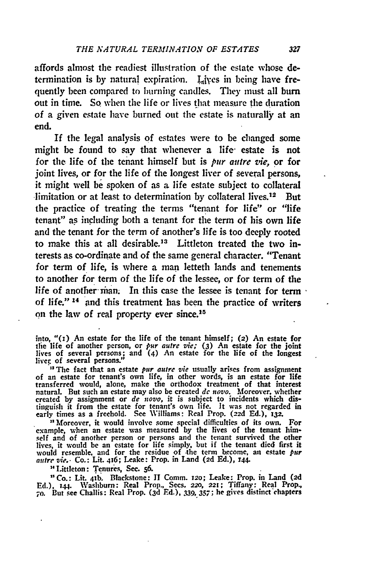affords almost the readiest illustration of the estate whose determination is by natural expiration. Lives in being have frequently been compared to burning candles. They must all burn out in time. **So** when the life or lives that measure the duration of a given estate have burned out the estate is naturally at an end.

If the legal analysis **of** estates were to be changed some might be found to say that whenever a life- estate is not for the life of the tenant himself but is **pur** *autre zie,* or for joint lives, or for the life of the longest liver of several persons, it might well be spoken of as a life estate subject to collateral limitation or at least to determination **by** collateral lives.12 But the practice of treating the terms "tenant for life" or "life tenant" as including both a tenant for the term of his own life and the tenant for the term of another's life is too deeply rooted to make this at all desirable." Littleton treated the two interests as co-ordinate and of the same general character. "Tenant for term of life, is where a man letteth lands and tenements to another for term of the life of the lessee, or for term of the life of another-man. In this case the lessee is tenant for term of life." 14 and this treatment has been the practice of writers on the law of real property ever since.<sup>15</sup>

into, **"(x)** An estate for the life of the tenant himself; (2) An estate for **tie** life of another person, or *pur* autre vie; **(3)** An estate for the joint lives of several persons; and (4) An estate for the life of the longest<br>liver of several persons."

**<sup>33</sup>**The fact that an estate *pur autre vie* usually arises from assignment of an estate for tenant's own life, in other words, is an estate for life transferred would, alone, make the orthodox treatment of that interest natural. But such an estate may also be created *de* novo. Moreover, whether created **by** assignment or *de novo,* it is subject to incidents which distinguish it from the estate for tenant's own life. It was not regarded in early times as a freehold. See Williams: Real Prop. (2zd **Ed.), 132.**

**"** Moreover, it would involve some special difficulties of its own. For example, when an estate was measured **by** the lives of the tenant himself and **of** another person or persons and the tenant survived the other lives, it would **be** an estate for life simply, but if the tenant died first it would resemble, and for the residue of the term become, an estate *put atire vie..* Co.: Lit. 416; Leake: Prop. in Land **(2d Ed.), r44.**

Littleton: Tenures, Sec. **56.**

Co.: Lit. **41b.** Blackstone: **IT** Comm. 12o; Leake: Prop. in Land **(2d** Ed.), **44.** Washburn: Real Prop., Sees. *220,* 221; Tiffany: Real Prop, **70.** But see Challis: Real Prop. **(3d Ed.), 339,.357;** he gives distinct'chapters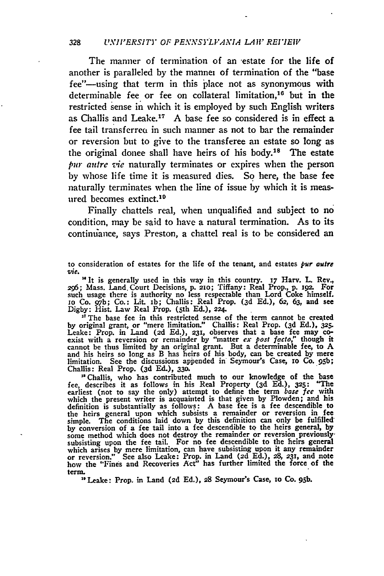The manner of termination of an estate for the life of another is paralleled **by** the mannei of termination of the "base fee"-using that term in this place not as synonymous with determinable fee or fee on collateral limitation, 16 but in the restricted sense in which it is employed **by** such English writers as Challis and Leake.<sup>17</sup> A base fee so considered is in effect a fee tail transferred in such manner as not to bar the remainder or reversion but to give to the transferee an estate so long as the original donee shall have heirs of his body.<sup>18</sup> The estate *pur autre sie* naturally terminates or expires when the person by whose life time it is measured dies. So here, the base fee naturally terminates when the line of issue by which it is measured becomes extinct.'<sup>0</sup>

Finally chattels real, when unqualified and subject to no condition, may be said to have a natural termination. As to its continuance, says Preston, a chattel real is to be considered an

*2c6;* Mass. Land. Court Decisions, **p. 210;** Tiffany: Real Prop., **p.** i9p. For such usage there is authority no less respectable than Lord Coke himself. io Co. **97'b;** Co.: Lit. ib; Challis: Real Prop. **(3d Ed.),** 62, **63,** and see **Digby:** Hist. Law Real Prop. (5th **Ed.), 224.**

<sup>17</sup> The base fee in this restricted sense of the term cannot be created **by** original grant, or "mere limitation." Challis: Real Prop. **(3d Ed.), 325.** Leake: Prop. in Land **(2d Ed.), 231,** observes that a base fee may coexist with a reversion or remainder by "matter *ex* post facto," though it cannot be thus limited by an original grant. But a determinable fee, to **A** and his heirs so long as B has heirs of his body, can be created by mere limitation. See the discussions appended in Seymour's Case, zo Co. **95b;** Challis: Real Prop. **(3d** Ed.), **330.**

**"** Challis, who has contributed much to our knowledge of the base fee, describes it as follows in his Real Property **(3d Ed.), 325:** "The earliest (not to say the only) attempt to define the term *base fee* with which the present writer is acquainted is that given by Plowden; and his definition is substantially as follows: A base fee is a fee descendible to the heirs general upon which subsists a remainder or reversion in fee<br>simple. The conditions laid down by this definition can only be fulfilled<br>by conversion of a fee tail into a fee descendible to the heirs general, by<br>so subsisting upon the fee tail. For no fee descendible to the heirs general which arises by mere limitation, can have subsisting upon it any remainder or reversion." See also Leake: Prop. in Land **(2d Ed.), 28,** 231, and note how the "Fines and Recoveries Act" has further limited the force of the term.

*'* Leake: Prop. in Land **(2d Ed.), 28** Seymour's Case, zo Co. 95b.

to consideration of estates for the life of the tenant, and estates **pur** *autre* **vze. .** It is generally used in this way in this country. **17** Harv. L **Rev.,**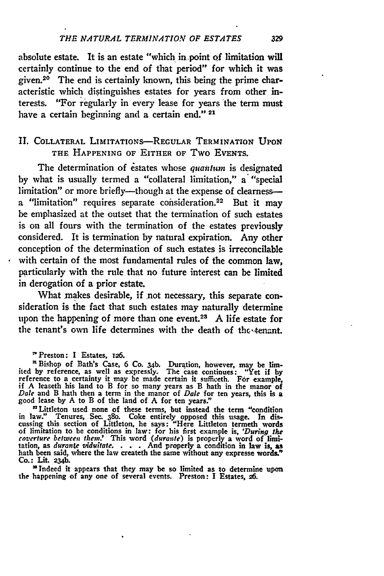#### *THE NATURAL TERMINATION OF ESTATES*

absolute estate. It is an estate "which in point **Qf** limitation will certainly continue to the end of that period" for which it was given.20 The end is certainly known, this being the prime characteristic which distinguishes estates for years from other interests. "For regularly in every lease for years the term must have a certain beginning and a certain end."<sup>21</sup>

# **II.** COLLATERAL LIMITATIONS-REGULAR **TERMINATION** UPON THE **HAPPENING OF** EITHER OF Two EVENTS.

The determination of estates whose quantum is designated **by** what is usually termed a "collateral limitation," a "special limitation" or more briefly-though at the expense of clearnessa "limitation" requires separate consideration.<sup>22</sup> But it may be emphasized at the outset that the termination of such estates is on all fours with the termination of the estates previously considered. It is termination **by** natural expiration. Any other conception of the determination of such estates is irreconcilable with certain of the most fundamental rules of the common law, particularly with the rule that no future interest can be limited in derogation of a prior estate.

What makes desirable, if not necessary, this separate consideration is **the** fact that such estates may naturally determine upon the happening of more than one event.<sup>23</sup>**A** life estate for the tenant's own life determines with the death of the tenant.

**'** Preston: I Estates, 126.

<sup>a</sup> Bishop of Bath's Case, 6 Co. 34b. Duration, however, may be limited by reference, as well as expressly. The case continues: "Yet if by<br>reference to a certainty it may be made certain it sufficeth. For example,<br>if A leaseth his land to B for so many years as B hath in the manor of *Dale* and B hath then a term in the manor of *Dale* for ten years, this is a good lease **by A** to B of the land of **A** for ten years."

'Littleton used none of these terms, but instead the term **"condition** in law." Tenures, Sec. s8o. Coke entirely opposed this usage. In **dis**cussing this section of Littleton, he says: "Here Littleton termeth words of limitation to be conditions in law: for his first example is, 'During the coverture between them.' This word (durante) is properly a word of limitation, as durante viduitate. . . . . And properly a condition in law is, Co.: Lit. **234b.**

'Indeed it appears that they may be so limited as to determine **upon** the happening **of** any one of several events. Preston: **I** Estates, **26.**

329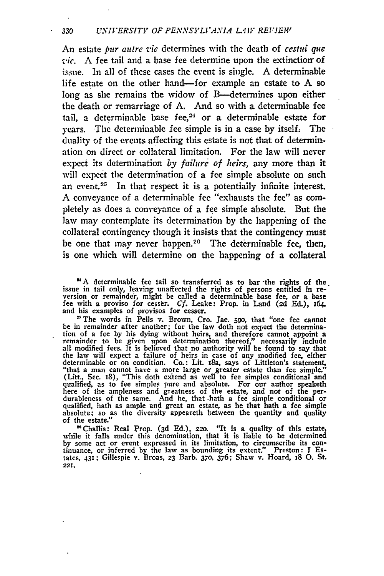An estate pur autre vie determines with the death of *cestui que vic.* A fee tail and a base fee determine upon the extinction of issue. In all of these cases the event is single. A determinable life estate on the other hand-for example an estate to A so long as she remains the widow of B-determines upon either the death or remarriage of A. And so with a determinable fee tail, a determinable base fee, $24$  or a determinable estate for years. The determinable fee simple is in a case by itself. The duality of the events affecting this estate is not that of determination on direct or collateral limitation. For the law will never expect its determination *by failure of heirs,* any more than it will expect the determination of a fee simple absolute on such an event.<sup>25</sup> In that respect it is a potentially infinite interest. A conveyance of a determinable fee "exhausts the fee" as completely as does a conveyance of a fee simple absolute. But the law may contemplate its determination by the happening of the collateral contingency though it insists that the contingency must be one that may never happen.20 The determinable fee, then, is one which will determine on the happening of a collateral

**"A** determinable fee tail so transferred as to bar -the rights of the. issue in tail only, leaving unaffected the rights of persons entitled in re- version or remaindeir, might be called a determinable base fee, or a base fee with a proviso for cesser. *Cf.* Leake: Prop. in Land **(2d** Ed.), 164, and his examples of provisos for cesser.<br><sup>25</sup> The words in Pells v. Brown, Cro. Jac. 590, that "one fee cannot

be in remainder after another; for the law doth not expect the determination of a fee **by** his dying without heirs, and therefore cannot appoint a remainder to be given upon determination thereof," necessarily include all modified fees. It is believed that no authority will be found to say that the law will expect a failure of heirs in case of any modified fee, either determinable or on condition. Co.: Lit. iSa, says of Littleton's statement, "that a man cannot have a more large or greater estate than fee simple." (Litt., Sec. 18), "This doth extend as well to fee simples conditional and qualified, as to fee simples pure and absolute. For our author speaketh here of the ampleness and greatness of the estate, and not of the per-<br>durableness of the same. And he, that -bath a fee simple conditional or<br>qualified, hath as ample and great an estate, as he that hath a fee simple absolute; so as the diversity appeareth between the quantity and quality of the estate."

"Challis: Real Prop. **(3d** Ed.), *220.* "It is a quality of this estate, while it falls under this denomination, that it is liable to be determined by some act or event expressed in its limitation, to circumscribe its con-<br>tinuance, or inferred by the law as bounding its extent." Preston: I Estates, **431:** Gillespie v. Broas, **23** Barb. **370. 376;** Shaw v. Hoard, **j8 0.** St. **221.**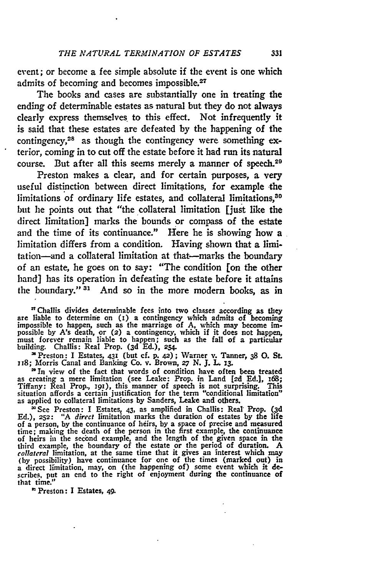event; or become a fee simple absolute if the event is one which admits of becoming and becomes impossible.27

The books and cases are substantially one in treating the ending of determinable estates as natural but they do not always clearly express themselves to this effect. Not infrequently it is said that these estates are defeated **by** the happening of the contingency,28 as though the contingency were something exterior, coming in to cut off the estate before it **had** run its natural course. But after all this seems merely a manner of speech.29

Preston makes a clear, and for certain purposes, a very useful distinction between direct limitations, for example the limitations of ordinary life estates, and collateral limitations,<sup>30</sup> but he points out that "the collateral limitation [just like the direct limitation] marks the bounds or compass of the estate and the time of its continuance." Here he is showing how a limitation differs from a condition. Having shown that a limitation-and a collateral limitation at that-marks the boundary of an estate, he goes on to say: "The condition [on the other hand] has its operation in defeating the estate before it attains the boundary." **31** And so in the more modem books, as in

<sup>27</sup> Challis divides determinable fees into two classes according as they are liable to determine on (1) a contingency which admits of becoming impossible to happen, such as the marriage of A, which may become impossible must forever remain liable to happen; such as the fall of a particular building. Challis: Real Prop. **(3d Ed.), 254.**

**'** Preston: I Estates, **431** (but **cf. p.** 42) **;** Warner v. Tanner, **38 0.** St. **uz8;** Morris Canal and Banking Co. v. Brown, *27* **N. J.** L. **x3.**

**"** In view of the fact that words of condition have often been treated as creating a mere limitation (see Leake: Prop. in Land **[2d Ed.], x68;** Tiffany: Real Prop., 191), this manner of speech is not surprising. This<br>situation affords a certain justification for the term "conditional limitation"<br>as applied to collateral limitations by Sanders, Leake and others.

**'** See Preston: **I** Estates, 43, as amplified in Challis: Real Prop. **(3d Ed.), 252:** "A *direct* limitation marks the duration of estates **by** the life of a person, **by** the continuance of heirs, **by** a space of precise and measured time; making the death of the person in the first example, the continuance<br>of heirs in the second example, and the length of the given space in the third example, the boundary of the estate or the period of duration. A *collateral* limitation, at the same time that it gives an interest which **may (by** possibility) have continuance for one of the times (marked out) in a direct limitation, may, on (the happening of) some event which it de-scribes, **put** an end to the right of enjoyment during the continuance of that time."

"Preston: **I** Estates, 49.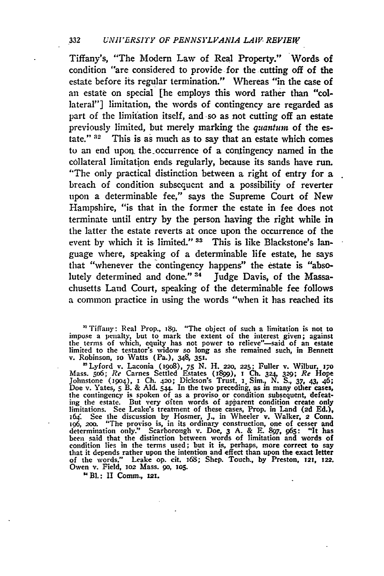#### **332** *UNIVERSITY OF PENNSYLVANIA LAIW REVIEtr*

Tiffany's, "The Modern Law of Real Property." Words of condition "are considered to provide for the cutting off of the estate before its regular termination." Whereas "'in the case of an estate on special [he employs this word rather than "collateral"] limitation, the words of contingency are regarded as part of the limitation itself, and so as not cutting off an estate previously limited, but merely marking the *quantum* of the estate."  $32$  This is as much as to say that an estate which comes to an end upon the occurrence of a contingency named in the collateral limitation ends regularly, because its sands have run. "The only practical distinction between a right of entry for a breach of condition subsequent and a possibilify of reverter upon a determinable fee," says the Supreme Court of New Hampshire, "is that in the former the estate in fee does not terminate until entry by the person having the right while in the latter the estate reverts at once upon the occurrence of the event **by** which it is limited." **s3** This is like Blackstone's language where, speaking of a determinable life estate, he says that "whenever the contingency happens" the estate is "absolutely determined and done."<sup>34</sup> Judge Davis, of the Massachusetts Land Court, speaking of the determinable fee follows a common practice in using the words "when it has reached its

"Tiffany: Real Prop., i89. "The object of such a limitation is **not** to impose a penalty, but to mark the extent of the interest given; against the terms of which, equity has not power to relieve"--said of an estate limited to the testator's widow so long as she remained such, in Bennett v. Robinson, io Watts (Pa.), 348, **351.**

<sup>22</sup> Lyford v. Laconia (1908), 75 N. H. 220, 225; Fuller v. Wilbur, 170<br>Mass. 506; Re Carnes Settled Estates (1899), 1 Ch. 324, 329; Re Hope<br>Johnstone (1904), 1 Ch. 420; Dickson's Trust, 1 Sim., N. S., 37, 43, 46; Doe v. Yates, 5 B. & Ald. 544. In the two preceding, as in many other cases, the contingency is spoken of as a proviso or condition subsequent, defeating the estate. But very often words of apparent condition create only l 16i See the discussion by Hosmer, **J.,** in Wheeler v. Walker, 2 **Conn.** 196, **2,oo.** "The proviso is, in its ordinary construction, one of cesser and determination only." Scarborough v. Doe, 3 A. & E. 897, 965: "It has<br>been said that the distinction between words of limitation and words of<br>condition lies in the terms used; but it is, perhaps, more correct to say that it depends rather upon the intention and effect than upon the exact letter of **the** words." Leake op. cit. **i68;** Shep. Touch., by Preston. **121, 122.** Owen v. Field, **1o2** Mass. go, io5.

BI.: II Comm., **1x2.**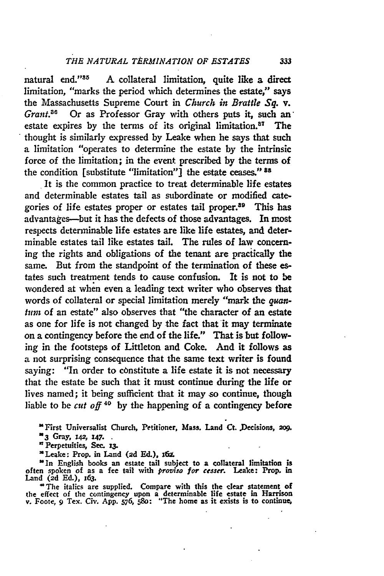natural end.' A collateral limitation, quite like a direct limitation, "marks the period which determines the estate," says the Massachusetts Supreme Court in *Church in Brattle Sq. v. Grant.*<sup>36</sup> Or as Professor Gray with others puts it, such an estate expires by the terms of its original **limitation.8 <sup>7</sup>**The thought is similarly expressed **by** Leake when he says that such a limitation "operates to determine the estate **by** the intrinsic force of the limitation; in the event prescribed **by** the terms of the condition [substitute "limitation"] the estate ceases." **38**

It is the common practice to treat determinable life estates and determinable estates tail as subordinate or modified categories of life estates proper or estates tail proper.<sup>39</sup> This has advantages-but it has the defects of those advantages. In most respects determinable life estates are like life estates, and determinable estates tail like estates tail. The rules of law concerning the rights and obligations of the tenant are practically the same. But from the standpoint of the termination of these **es**tates such treatment tends to cause confusion. It is not to be wondered at when even a leading text writer who observes that words of collateral or special limitation merely "mark the *quanturn* of an estate" also observes that "the character of an estate as one for life is not changed **by** the fact that it may terminate on a contingency before the end of the life." That is but following in the footsteps of Littleton and Coke. And it follows as a not surprising consequence that the same text writer is found saying: "In order to constitute a life estate it is not necessary that the estate be such that it must continue during the life or lives named; it being sufficient that it may so continue, though liable to **be** *cut off 40* **by** the happening of a contingency before

**'First Universalist Church, Petitioner, Mass. Land Ct. .Decisions, 2o9.**

**n3 Gray, 142, 147.**

**'Perpetuities, See. z3.**

**'Leake: Prop. in Land (2d Ed.), i6f.**

**"In English books an estate tail subject to a collateral limitation is often spoken of as** a **fee tail with** *proviso for ceuser.* **Leake: Prop.** in **Land (2d Ed.), 163.**

**'The italics are supplied. Compare** with **this the clear statement of the effect of the contingency upon a determinable life estate** in **Harrison v. Foote, 9 Tex. Civ. App. 576, 58o: "The home** as **it** exists **is to continue,**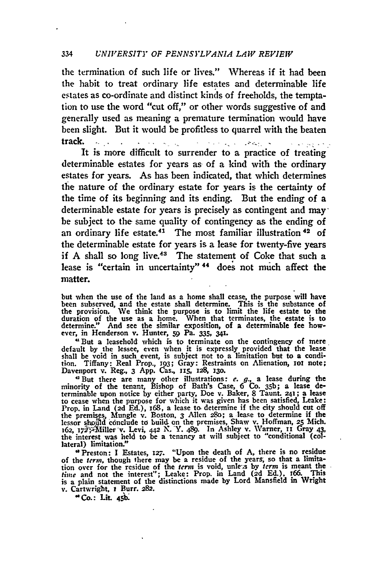#### 334 *UNIVERSITY OF PENNSYLVANIA LAW REVIEW*

the termination of such life or lives." Whereas if it had been the habit to treat ordinary life estates and determinable life estates as co-ordinate and distinct kinls of freeholds, the temptation to use the word "cut off," or other words suggestive of and generally used as meaning a premature termination would have been slight. But it would be profitless to quarrel with the beaten track. **. .**

It is more difficult to surrender to a practice of treating determinable estates for years as of a kind with the ordinary estates for years. As has been indicated, that which determines the nature of the ordinary estate for years is the certainty of the time of its beginning and its ending. But the ending of a determinable estate for years is precisely as contingent and may  be subject to the same quality of contingency as the ending of an ordinary life estate.<sup>41</sup> The most familiar illustration<sup>42</sup> of the determinable estate for years is a lease for twenty-five years if A shall so long live.<sup>43</sup> The statement of Coke that such a lease is "certain in uncertainty"<sup>44</sup> does not much affect the matter.

but when the use of the land as a home shall cease, the purpose will have been subserved, and the estate shall determine. This is the substance of the provision. We think the **purpose** is to limit the life estate to the duration of the use as a home. When that terminates, the estate is to determine." And see the similar exposition, of a determinable fee however, in Henderson v. Hunter, **59** Pa. **335,** 341.

<sup>4</sup> But a leasehold which is to terminate on the contingency of mere default by the lessee, even when it is expressly provided that the lease shall be void in such event, is subject not to a limitation but to a condition. Tiffany: Real Prop., **193; Gray: Restraints on Alienation**, **101** note;<br>Davenport v. Reg., 3 App. Cas., 115, 128, 130.

'But there are many other illustrations: e. **g.,** a lease during the minority of the tenant, Bishop of Bath's Case, **6 Co.** 35b; a lease determinable upon notice by either party, Doe v. Baker, 8 Taunt. 241; a lease<br>to cease when the purpose for which it was given has been satisfied, Leake:<br>Prop. in Land (2d Ed.), 168, a lease to determine if the city should c the premises, Mungle v. Boston, 3 Allen 280; a lease to determine if the premises, Mungle v. Boston, 3 Allen 280; a lease to determine if the lessor should conclude to build on the premises, Shaw v. Hoffman, 25 Mich. 162, lateral) limitation."

"Preston: **I** Estates, **127.** "Upon the death of A, there is no residue of the term, though there may be a residue of the years, so that a limitation over for the residue of the *term* is void, unlers by *term* is meant the *time* and not the interest"; Leake: Prop. in Land (2d Ed.), 166. This is a plain statement of the distinctions made by Lord Mansfield in Wrigh v. Cartwright, **i** Burr. 282. **'\*Co.: Lit. <sup>45</sup>**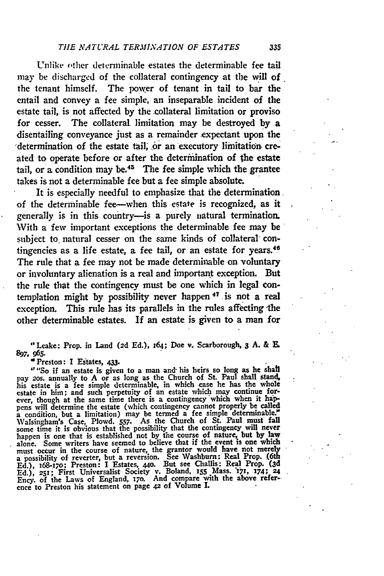Unlike other determinable estates the determinable fee tail may be discharged of the collateral contingency at the will of the tenant himself. The power of tenant in tail to bar the entail and convey a fee simple, an inseparable incident of the estate tail, is not affected by the .collateral limitation or proviso for cesser. The collateral limitation may be destroyed **by** a disentailing conveyance just as a remainder expectant upon the 'determination of the estate tail, or an executory limitation created to operate before or after the determination of the estate tail, or a condition may be.<sup>45</sup> The fee simple which the grantee takes is not a determinable fee but a fee simple absolute.

It is especially needful to emphasize that the determination of the determinable fee-when this estate is recognized, as it generally is in this country---is a purely natural termination. With a few important exceptions the determinable fee may be subject to, natural cesser on the same kinds of collateral contingencies as a life estate, a fee tail, or an estate for years.<sup>46</sup> The rule that a fee may not be made determinable on voluntary or involuntary alienation is a real and important exception. But the rule that the contingency must be one which in legal contemplation might by possibility never happen **47 -is** not a real exception. This rule has its parallels in the rules affecting the other determinable estates. If an estate is given to a man for

"Leake: Prop. in Land **(2d Ed.),** 164; Doe v. Scarborough, **3 A.** & E. **897, 965.**

'Preston: **I** Estates, **433.**

"So if an estate is given to a man and- his heirs so long as **he** shatl pay 20s. annually to A or as long as the Church of St. Paul shall stand, his estate is a fee simple determinable, in which case he has the whole estate in him; and such perpetuity of an estate which may continue for-<br>ever, pens will determine the estate (which contingency cannot properly **be** called a condition, but a limitation) may be termed a fee simple determinable.' Walsingham's Case, Plowd. 557. As the Church of St. Paul must fall<br>some time it is obvious that the possibility that the contingency will never<br>happen is one that is established not by the course of nature, but by law alone. Some writers have seemed to believe that if the event is one which must occur in the course of nature, the grantor would have not merely a possibility of reverter, but a reversion. **See** Washburn: Real Prop. **(M Ed.),** 168-17o; Preston: **I** Estates, 44o. But see Challis: **Real** Prop. **(3d** Ed.), 251; First Universalist Society v. Boland, 155 Mass. 171, 174; 24<br>Ency. of the Laws of England, 170. And compare with the above refer-<br>ence to Preston his statement on page 42 of Volume I.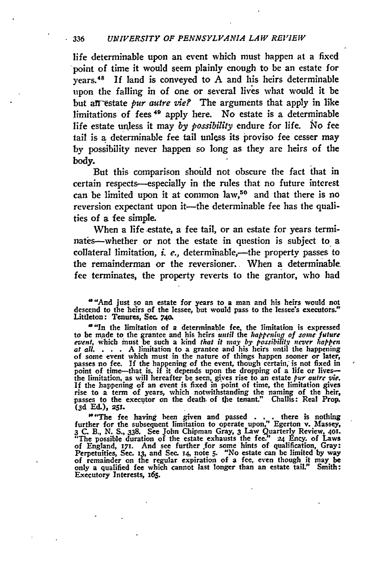### **<sup>336</sup>***UNIVERSITY OF PENNSYLVANIA LAW REVIEW*

life determinable upon an event which must happen at a fixed point of time it would seem plainly enough to be an estate for years. <sup>48</sup>**If** land is conveyed to **A** and his heirs determinable upon the falling in of one or several lives what would it be but an estate *pur autre vie?* The arguments that apply in like limitations of fees 49 apply here. No estate is a determinable life estate unless it may by possibility endure for life. No fee tail is a determinable fee tail unless its proviso fee cesser may **by** possibility never happen so long as they **are** heirs of the body.

But this comparison shouild not obscure the fact that in certain respects-especially in the rules that no future interest can be limited upon it at common law,<sup>50</sup> and that there is no reversion expectant upon it-the determinable fee has the qualities of a fee simple.

When a life estate, a fee tail, or an estate for years terminates--whether or not the estate in question is subject to a collateral limitation, *i. e.*, determinable,-the property passes to the remainderman or the reversioner. When a determinable fee terminates, the property reverts to the grantor, who had

"And just so an estate for years to a man and his heirs would not descend to the heirs of the lessee, but would pass to the lessee's executors." Littleton: Tenures, Sec. **740.**

"In the limitation of a determinable fee, the limitation is expressed<br>to be made to the grantee and his heirs until the happening of some future<br>event, which must be such a kind that it may by possibility never happen at all. ... A limitation to a grantee and his heirs until the happening<br>of some event which must in the nature of things happen sooner or later,<br>passes no fee. If the happening of the event, though certain, is not fixed in passes to the executor on the death. of the tenant." Challis: Real Prop. **(3d Ed.), 251.**

"'The fee having heen given and passed **. . .** there is nothing further for the subsequent limitation to operate upon," Egerton v. Massey, 3 C. B., N. S., 338. See John Chipman Gray, 3 Law Quarterly Review, 401.<br>"The possible duration of the estate exhausts the fee." 24 Ency. of Laws of England, **171.** And see further .for some hints of qualification, Gray: Perpetuities, Sec. **13,** and Sec. **14,** note **5. "No** estate can **be** limited **by** way of remainder on the regular expiration of a fee, even though it may be only a qualified fee which cannot last longer than an estate tail." Smith: Executory Interests, 165.